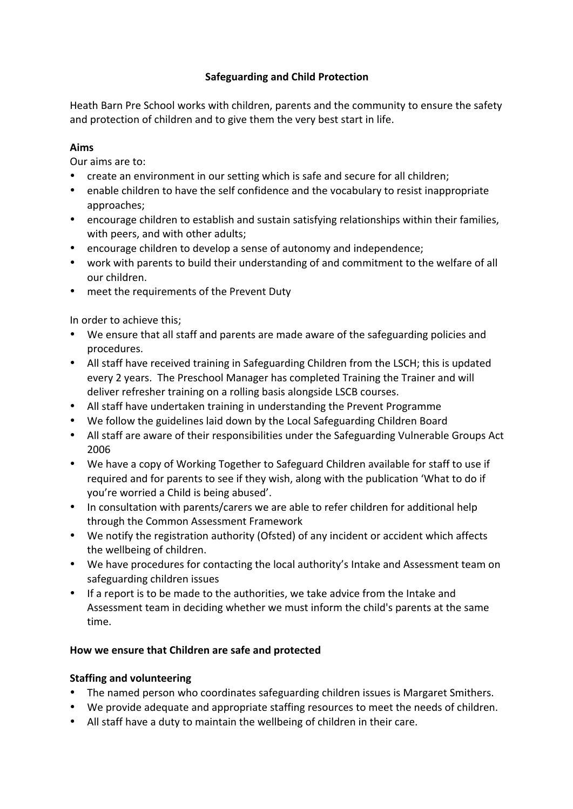# **Safeguarding and Child Protection**

Heath Barn Pre School works with children, parents and the community to ensure the safety and protection of children and to give them the very best start in life.

### **Aims**

Our aims are to:

- create an environment in our setting which is safe and secure for all children;
- enable children to have the self confidence and the vocabulary to resist inappropriate approaches;
- encourage children to establish and sustain satisfying relationships within their families, with peers, and with other adults;
- encourage children to develop a sense of autonomy and independence;
- work with parents to build their understanding of and commitment to the welfare of all our children.
- meet the requirements of the Prevent Duty

In order to achieve this;

- We ensure that all staff and parents are made aware of the safeguarding policies and procedures.
- All staff have received training in Safeguarding Children from the LSCH; this is updated every 2 years. The Preschool Manager has completed Training the Trainer and will deliver refresher training on a rolling basis alongside LSCB courses.
- All staff have undertaken training in understanding the Prevent Programme
- We follow the guidelines laid down by the Local Safeguarding Children Board
- All staff are aware of their responsibilities under the Safeguarding Vulnerable Groups Act 2006
- We have a copy of Working Together to Safeguard Children available for staff to use if required and for parents to see if they wish, along with the publication 'What to do if you're worried a Child is being abused'.
- In consultation with parents/carers we are able to refer children for additional help through the Common Assessment Framework
- We notify the registration authority (Ofsted) of any incident or accident which affects the wellbeing of children.
- We have procedures for contacting the local authority's Intake and Assessment team on safeguarding children issues
- If a report is to be made to the authorities, we take advice from the Intake and Assessment team in deciding whether we must inform the child's parents at the same time.

# How we ensure that Children are safe and protected

# **Staffing and volunteering**

- The named person who coordinates safeguarding children issues is Margaret Smithers.
- We provide adequate and appropriate staffing resources to meet the needs of children.
- All staff have a duty to maintain the wellbeing of children in their care.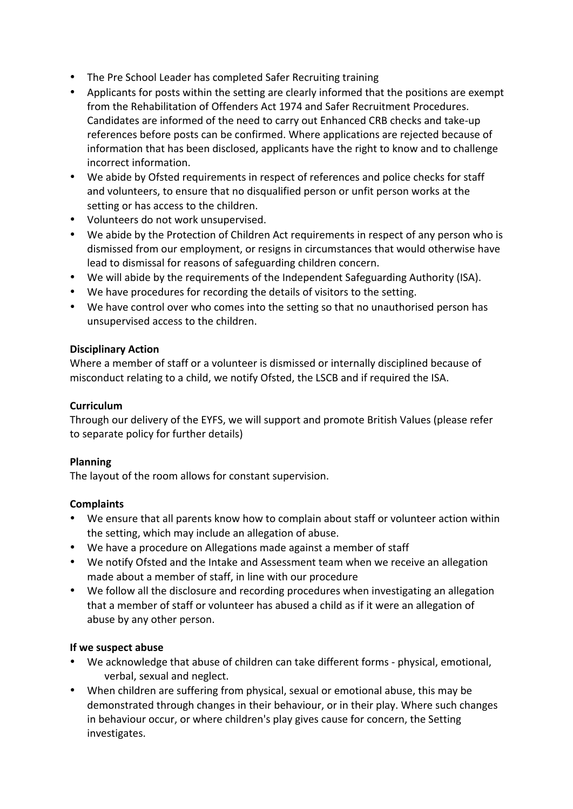- The Pre School Leader has completed Safer Recruiting training
- Applicants for posts within the setting are clearly informed that the positions are exempt from the Rehabilitation of Offenders Act 1974 and Safer Recruitment Procedures. Candidates are informed of the need to carry out Enhanced CRB checks and take-up references before posts can be confirmed. Where applications are rejected because of information that has been disclosed, applicants have the right to know and to challenge incorrect information.
- We abide by Ofsted requirements in respect of references and police checks for staff and volunteers, to ensure that no disqualified person or unfit person works at the setting or has access to the children.
- Volunteers do not work unsupervised.
- We abide by the Protection of Children Act requirements in respect of any person who is dismissed from our employment, or resigns in circumstances that would otherwise have lead to dismissal for reasons of safeguarding children concern.
- We will abide by the requirements of the Independent Safeguarding Authority (ISA).
- We have procedures for recording the details of visitors to the setting.
- We have control over who comes into the setting so that no unauthorised person has unsupervised access to the children.

# **Disciplinary Action**

Where a member of staff or a volunteer is dismissed or internally disciplined because of misconduct relating to a child, we notify Ofsted, the LSCB and if required the ISA.

### **Curriculum**

Through our delivery of the EYFS, we will support and promote British Values (please refer to separate policy for further details)

# **Planning**

The layout of the room allows for constant supervision.

# **Complaints**

- We ensure that all parents know how to complain about staff or volunteer action within the setting, which may include an allegation of abuse.
- We have a procedure on Allegations made against a member of staff
- We notify Ofsted and the Intake and Assessment team when we receive an allegation made about a member of staff, in line with our procedure
- We follow all the disclosure and recording procedures when investigating an allegation that a member of staff or volunteer has abused a child as if it were an allegation of abuse by any other person.

# **If we suspect abuse**

- We acknowledge that abuse of children can take different forms physical, emotional, verbal, sexual and neglect.
- When children are suffering from physical, sexual or emotional abuse, this may be demonstrated through changes in their behaviour, or in their play. Where such changes in behaviour occur, or where children's play gives cause for concern, the Setting investigates.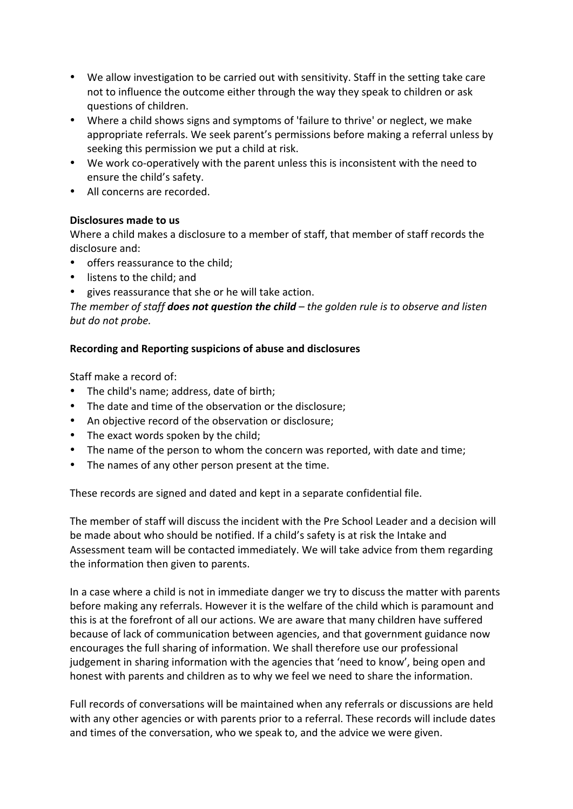- We allow investigation to be carried out with sensitivity. Staff in the setting take care not to influence the outcome either through the way they speak to children or ask questions of children.
- Where a child shows signs and symptoms of 'failure to thrive' or neglect, we make appropriate referrals. We seek parent's permissions before making a referral unless by seeking this permission we put a child at risk.
- We work co-operatively with the parent unless this is inconsistent with the need to ensure the child's safety.
- All concerns are recorded.

#### **Disclosures made to us**

Where a child makes a disclosure to a member of staff, that member of staff records the disclosure and:

- offers reassurance to the child;
- listens to the child; and
- gives reassurance that she or he will take action.

The member of staff **does not question the child** – the golden rule is to observe and listen *but do not probe.*

#### **Recording and Reporting suspicions of abuse and disclosures**

Staff make a record of:

- The child's name; address, date of birth;
- The date and time of the observation or the disclosure;
- An objective record of the observation or disclosure;
- The exact words spoken by the child;
- The name of the person to whom the concern was reported, with date and time;
- The names of any other person present at the time.

These records are signed and dated and kept in a separate confidential file.

The member of staff will discuss the incident with the Pre School Leader and a decision will be made about who should be notified. If a child's safety is at risk the Intake and Assessment team will be contacted immediately. We will take advice from them regarding the information then given to parents.

In a case where a child is not in immediate danger we try to discuss the matter with parents before making any referrals. However it is the welfare of the child which is paramount and this is at the forefront of all our actions. We are aware that many children have suffered because of lack of communication between agencies, and that government guidance now encourages the full sharing of information. We shall therefore use our professional judgement in sharing information with the agencies that 'need to know', being open and honest with parents and children as to why we feel we need to share the information.

Full records of conversations will be maintained when any referrals or discussions are held with any other agencies or with parents prior to a referral. These records will include dates and times of the conversation, who we speak to, and the advice we were given.